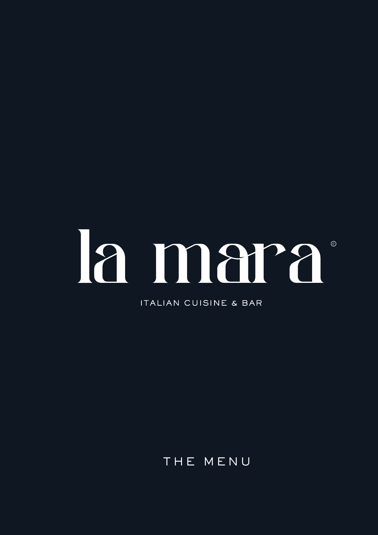# la mara  $\odot$

**ITALIAN CUISINE & BAR** 

THE MENU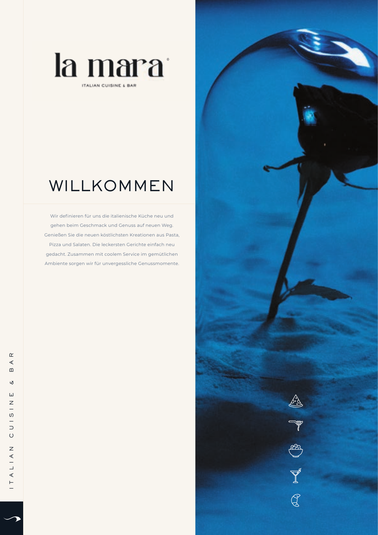

# WILLKOMMEN

Wir definieren für uns die italienische Küche neu und gehen beim Geschmack und Genuss auf neuen Weg. Genießen Sie die neuen köstlichsten Kreationen aus Pasta, Pizza und Salaten. Die leckersten Gerichte einfach neu gedacht. Zusammen mit coolem Service im gemütlichen Ambiente sorgen wir für unvergessliche Genussmomente.

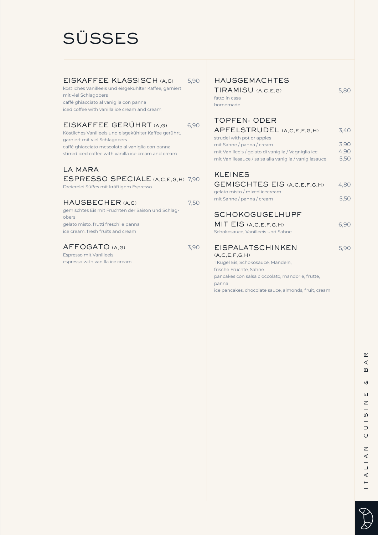# **SÜSSES**

#### EISKAFFEE KLASSISCH (A,G) 5,90

köstliches Vanilleeis und eisgekühlter Kaffee, garniert mit viel Schlagobers caffé ghiacciato al vaniglia con panna iced coffee with vanilla ice cream and cream

#### EISKAFFEE GERÜHRT (A,G) 6,90

Köstliches Vanilleeis und eisgekühlter Kaffee gerührt, garniert mit viel Schlagobers caffé ghiacciato mescolato al vaniglia con panna stirred iced coffee with vanilla ice cream and cream

#### LA MARA ESPRESSO SPECIALE (A,C,E,G,H) 7,90

Dreierelei Süßes mit kräftigem Espresso

#### HAUSBECHER (A,G) 7,50

gemischtes Eis mit Früchten der Saison und Schlagobers gelato misto, frutti freschi e panna ice cream, fresh fruits and cream

#### AFFOGATO (A,G) 3,90

Espresso mit Vanilleeis espresso with vanilla ice cream

#### HAUSGEMACHTES

| TIRAMISU (A,C,E,G) | 5.80 |
|--------------------|------|
| fatto in casa      |      |
| homemade           |      |

#### TOPFEN- ODER

| APFELSTRUDEL (A,C,E,F,G,H)                             | 3,40 |
|--------------------------------------------------------|------|
| strudel with pot or apples                             |      |
| mit Sahne / panna / cream                              | 3.90 |
| mit Vanilleeis / gelato di vaniglia / Vagniglia ice    | 4.90 |
| mit Vanillesauce / salsa alla vaniglia / vanigliasauce | 5.50 |
|                                                        |      |

#### KLEINES

| <b>GEMISCHTES EIS (A,C,E,F,G,H)</b> | 4.80 |
|-------------------------------------|------|
| gelato misto / mixed icecream       |      |
| mit Sahne / panna / cream           | 5.50 |

#### SCHOKOGUGELHUPF

| MIT EIS (A,C,E,F,G,H)             | 6.90 |
|-----------------------------------|------|
| Schokosauce, Vanilleeis und Sahne |      |
|                                   |      |

#### EISPALATSCHINKEN 5,90

| (A, C, E, F, G, H)                                   |
|------------------------------------------------------|
| 1 Kugel Eis, Schokosauce, Mandeln,                   |
| frische Früchte, Sahne                               |
| pancakes con salsa cioccolato, mandorle, frutte,     |
| panna                                                |
| ice pancakes, chocolate sauce, almonds, fruit, cream |
|                                                      |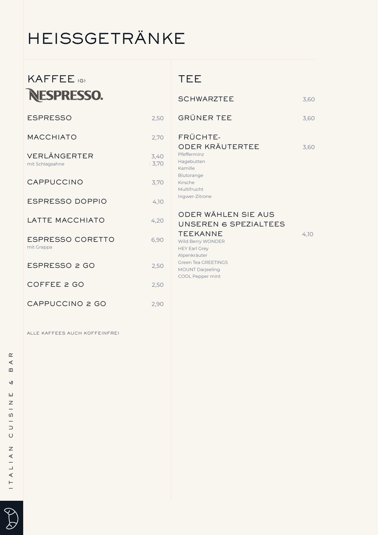# HEISSGETRÄNKE

# KAFFEE (G) **NESPRESSO.**

| <b>ESPRESSO</b>                       | 2,50          |
|---------------------------------------|---------------|
| <b>MACCHIATO</b>                      | 2,70          |
| VERLÄNGERTER<br>mit Schlagsahne       | 3,40<br>33,70 |
| CAPPUCCINO                            | 3,70          |
| <b>ESPRESSO DOPPIO</b>                | 4,10          |
| LATTE MACCHIATO                       | 4,20          |
| <b>ESPRESSO CORETTO</b><br>mit Grappa | 6,90          |
| ESPRESSO 2 GO                         | 2,50          |
| COFFEE 2 GO                           | 2,50          |
| CAPPUCCINO 2 GO                       | 2,90          |

## TEE

| <b>SCHWARZTEE</b>                                                                                                                                                                                         | 3,60 |
|-----------------------------------------------------------------------------------------------------------------------------------------------------------------------------------------------------------|------|
| <b>GRÜNER TEE</b>                                                                                                                                                                                         | 3,60 |
| FRÜCHTE-<br>ODER KRÄUTERTEE<br>Pfefferminz<br>Hagebutten<br>Kamille                                                                                                                                       | 3,60 |
| Blutorange<br>Kirsche<br>Multifrucht<br>Ingwer-Zitrone                                                                                                                                                    |      |
| ODER WÄHLEN SIE AUS<br>UNSEREN 6 SPEZIALTEES<br><b>TEEKANNE</b><br>Wild Berry WONDER<br><b>HEY Earl Grey</b><br>Alpenkräuter<br><b>Green Tea GREETINGS</b><br><b>MOUNT Darjeeling</b><br>COOL Pepper mint | 4,10 |
|                                                                                                                                                                                                           |      |

ALLE KAFFEES AUCH KOFFEINFREI

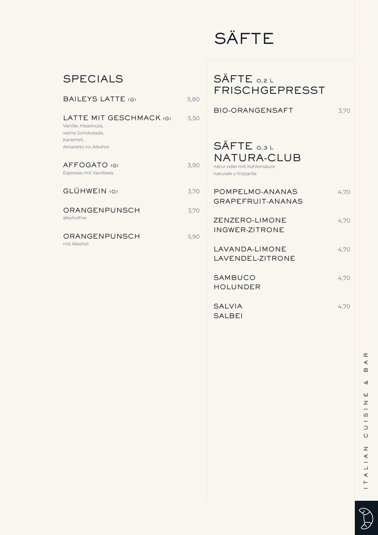# **SÄFTE**

## SPECIALS

| <b>BAILEYS LATTE (G)</b>                                                                                | 5,80 |
|---------------------------------------------------------------------------------------------------------|------|
| LATTE MIT GESCHMACK (G)<br>Vanille, Haselnuss,<br>weiße Schokolade,<br>Karamell,<br>Amaretto no Alkohol | 5,50 |
| AFFOGATO (G)<br>Espresso mit Vanilleeis                                                                 | 3,90 |
| GLÜHWEIN (O)                                                                                            | 3,70 |
| ORANGENPUNSCH<br>alkoholfrei                                                                            | 3,70 |
| ORANGENPUNSCH<br>mit Alkohol                                                                            | 5.90 |

# SÄFTE 0,2 L FRISCHGEPRESST BIO-ORANGENSAFT 3,70 SÄFTE 0,3 L NATURA-CLUB natur oder mit Kohlensäure naturale o frizzante POMPELMO-ANANAS 4,70 GRAPEFRUIT-ANANAS ZENZERO-LIMONE 4,70 INGWER-ZITRONE LAVANDA-LIMONE 4,70 LAVENDEL-ZITRONE SAMBUCO 4,70 HOLUNDER SALVIA 4,70 **SALBEI**

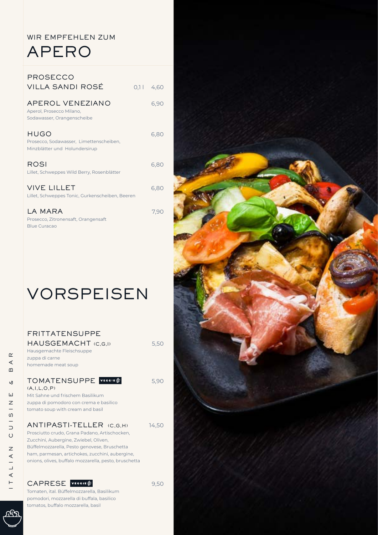#### WIR EMPFEHLEN ZUM

# APERO

| PROSECCO<br>VILLA SANDI ROSÉ                                                     | 0.114.60 |
|----------------------------------------------------------------------------------|----------|
| APEROL VENEZIANO<br>Aperol, Prosecco Milano,<br>Sodawasser, Orangenscheibe       | 6,90     |
| HUGO<br>Prosecco, Sodawasser, Limettenscheiben,<br>Minzblätter und Holundersirup | 6,80     |
| ROSI<br>Lillet, Schweppes Wild Berry, Rosenblätter                               | 6,80     |
| VIVE LILLET<br>Lillet, Schweppes Tonic, Gurkenscheiben, Beeren                   | 6,80     |
| LA MARA<br>Prosecco, Zitronensaft, Orangensaft<br><b>Blue Curacao</b>            | 7,90     |

# VORSPEISEN

| FRITTATENSUPPE<br>HAUSGEMACHT (C,G,I)<br>Hausgemachte Fleischsuppe<br>zuppa di carne<br>homemade meat soup                                                                                                                                                                     | 5,50  |
|--------------------------------------------------------------------------------------------------------------------------------------------------------------------------------------------------------------------------------------------------------------------------------|-------|
| TOMATENSUPPE VEGGIE<br>(A, I, L, O, P)<br>Mit Sahne und frischem Basilikum<br>zuppa di pomodoro con crema e basilico<br>tomato soup with cream and basil                                                                                                                       | 5,90  |
| ANTIPASTI-TELLER (C,G,H)<br>Prosciutto crudo, Grana Padano, Artischocken,<br>Zucchini, Aubergine, Zwiebel, Oliven,<br>Büffelmozzarella, Pesto genovese, Bruschetta<br>ham, parmesan, artichokes, zucchini, aubergine,<br>onions, olives, buffalo mozzarella, pesto, bruschetta | 14.50 |
| CAPRESE VEGGIE @<br>Tomaten, ital. Büffelmozzarella, Basilikum<br>pomodori, mozzarella di buffala, basilico<br>tomatos, buffalo mozzarella, basil                                                                                                                              | 9,50  |



ITALIAN CUISINE & BAR  $\triangleleft$  $\Omega$ Ø  $\bar{\omega}$  $\frac{Z}{9}$  $\begin{array}{c}\n- \\
0\n\end{array}$ ITALIAN

<u>nas</u>

 $\mathbf{\underline{\alpha}}$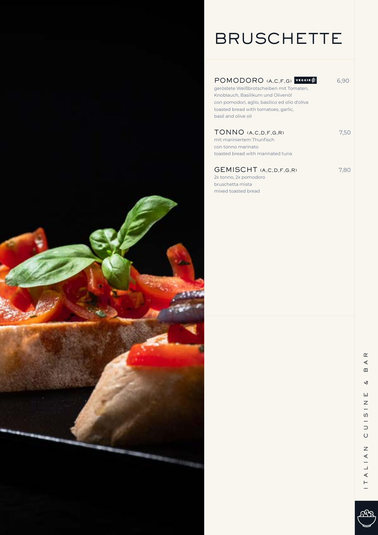# BRUSCHETTE

#### $POMODORO (A, C, F, G)$  veccle  $\emptyset$  6,90

geröstete Weißbrotscheiben mit Tomaten, Knoblauch, Basilikum und Olivenöl con pomodori, aglio, basilico ed olio d'oliva toasted bread with tomatoes, garlic, basil and olive oil

#### TONNO (A,C,D,F,G,R) 7,50 mit mariniertem Thunfisch

con tonno marinato toasted bread with marinated tuna

#### GEMISCHT (A,C,D,F,G,R) 7,80 2x tonno, 2x pomodoro

bruschetta mista mixed toasted bread

> $\underline{\alpha}$ ITALIAN CUISINE & BAR  $\prec$  $\boldsymbol{\text{m}}$ Ø  $\sqcup$  $\, \geq$  $\overline{\phantom{0}}$  $\omega$  $\overline{\phantom{a}}$  $\supset$  $\circ$  $\, \geq$  $\triangleleft$  $\frac{1}{2}$  $\triangleleft$  $\frac{1}{1}$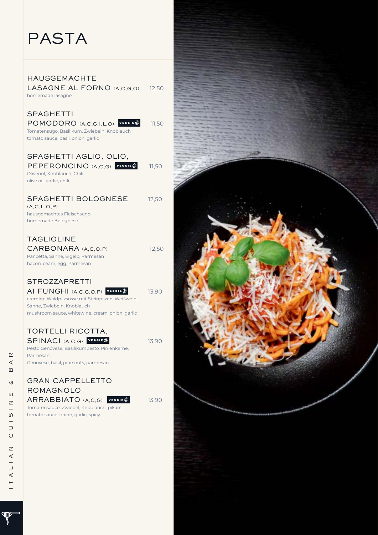# PASTA

|                              | <b>HAUSGEMACHTE</b><br>LASAGNE AL FORNO (A,C,G,O)<br>homemade lasagne                                                                                                                       | 12,50 |  |
|------------------------------|---------------------------------------------------------------------------------------------------------------------------------------------------------------------------------------------|-------|--|
|                              | <b>SPAGHETTI</b><br>POMODORO (A,C,G,I,L,O) VEGGIE @<br>Tomatensugo, Basilikum, Zwiebeln, Knoblauch<br>tomato sauce, basil, onion, garlic                                                    | 11,50 |  |
|                              | SPAGHETTI AGLIO, OLIO,<br>PEPERONCINO (A,C,G) VEGGIE @<br>Olivenöl, Knoblauch, Chili<br>olive oil, garlic, chili                                                                            | 11,50 |  |
|                              | SPAGHETTI BOLOGNESE<br>(A, C, L, O, P)<br>hausgemachtes Fleischsugo<br>homemade Bolognese                                                                                                   | 12,50 |  |
|                              | <b>TAGLIOLINE</b><br>CARBONARA (A,C,O,P)<br>Pancetta, Sahne, Eigelb, Parmesan<br>bacon, ceam, egg, Parmesan                                                                                 | 12,50 |  |
|                              | <b>STROZZAPRETTI</b><br>AI FUNGHI (A,C,G,O,P) VEGGIE @<br>cremige Waldpilzsosse mit Steinpilzen, Weißwein,<br>Sahne, Zwiebeln, Knoblauch<br>mushroom sauce, whitewine, cream, onion, garlic | 13,90 |  |
| ς<br>$\overline{a}$          | TORTELLI RICOTTA,<br><b>SPINACI</b> (A,C,G) VEGGIE @<br>Pesto Genovese, Basilikumpesto, Pinienkerne,<br>Parmesan<br>Genovese, basil, pine nuts, parmesan                                    | 13,90 |  |
| ð<br>J<br>$\frac{2}{1}$<br>Ŋ | <b>GRAN CAPPELLETTO</b><br><b>ROMAGNOLO</b><br>ARRABBIATO (A,C,G)<br><b>VEGGIE</b><br>Tomatensauce, Zwiebel, Knoblauch, pikant<br>tomato sauce, onion, garlic, spicy                        | 13,90 |  |
| $\overline{z}$<br>ť          |                                                                                                                                                                                             |       |  |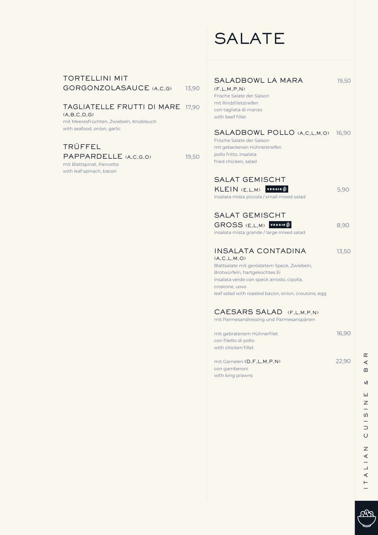# SALATE

| <b>TORTELLINI MIT</b><br><b>GORGONZOLASAUCE (A,C,G)</b><br>TAGLIATELLE FRUTTI DI MARE 17,90<br>(A,B,C,D,G)<br>mit Meeresfrüchten, Zwiebeln, Knoblauch<br>with seafood, onion, garlic | 13,90 | SALADBOWL LA MARA<br>(F, L, M, P, N)<br>Frische Salate der Saison<br>mit Rindsfiletstreifen<br>con tagliata di manzo<br>with beef fillet<br>SALADBOWL POLLO (A,C,L,M,O)                                                                             | 19,50<br>16,90 |
|--------------------------------------------------------------------------------------------------------------------------------------------------------------------------------------|-------|-----------------------------------------------------------------------------------------------------------------------------------------------------------------------------------------------------------------------------------------------------|----------------|
| <b>TRÜFFEL</b><br>PAPPARDELLE (A,C,G,O)<br>mit Blattspinat, Pancetta<br>with leaf spinach, bacon                                                                                     | 19,50 | Frische Salate der Saison<br>mit gebackenen Hühnerstreifen<br>pollo fritto, insalata<br>fried chicken, salad                                                                                                                                        |                |
|                                                                                                                                                                                      |       | <b>SALAT GEMISCHT</b><br>KLEIN(E, L, M)<br><b>VEGGIE</b><br>insalata mista piccola / small mixed salad                                                                                                                                              | 5,90           |
|                                                                                                                                                                                      |       | <b>SALAT GEMISCHT</b><br>$GROSS$ $(E, L, M)$ veggie $\emptyset$<br>insalata mista grande / large mixed salad                                                                                                                                        | 8,90           |
|                                                                                                                                                                                      |       | <b>INSALATA CONTADINA</b><br>(A, C, L, M, O)<br>Blattsalate mit geröstetem Speck, Zwiebeln,<br>Brotwürfeln, hartgekochtes Ei<br>insalata verde con speck arrosto, cipolla,<br>crostone, uovo<br>leaf salad with roasted bacon, onion, croutons, egg | 13,50          |
|                                                                                                                                                                                      |       | CAESARS SALAD (F, L, M, P, N)<br>mit Parmesandressing und Parmesanspänen                                                                                                                                                                            |                |
|                                                                                                                                                                                      |       | mit gebratenem Hühnerfilet<br>con filetto di pollo<br>with chicken fillet                                                                                                                                                                           | 16,90          |
|                                                                                                                                                                                      |       | mit Garnelen (D,F,L,M,P,N)<br>con gamberoni<br>with king prawns                                                                                                                                                                                     | 22,90          |

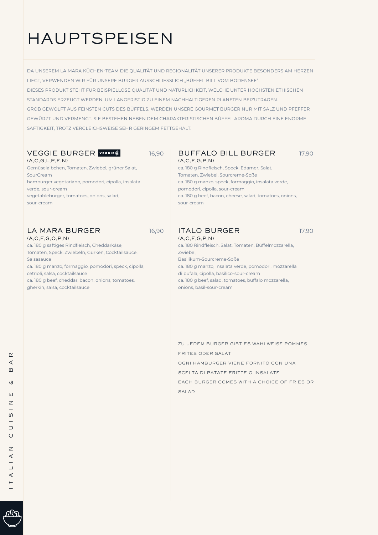# HAUPTSPEISEN

DA UNSEREM LA MARA KÜCHEN-TEAM DIE QUALITÄT UND REGIONALITÄT UNSERER PRODUKTE BESONDERS AM HERZEN LIEGT, VERWENDEN WIR FÜR UNSERE BURGER AUSSCHLIESSLICH "BÜFFEL BILL VOM BODENSEE".

DIESES PRODUKT STEHT FÜR BEISPIELLOSE QUALITÄT UND NATÜRLICHKEIT, WELCHE UNTER HÖCHSTEN ETHISCHEN STANDARDS ERZEUGT WERDEN, UM LANGFRISTIG ZU EINEM NACHHALTIGEREN PLANETEN BEIZUTRAGEN. GROB GEWOLFT AUS FEINSTEN CUTS DES BÜFFELS, WERDEN UNSERE GOURMET BURGER NUR MIT SALZ UND PFEFFER GEWÜRZT UND VERMENGT. SIE BESTEHEN NEBEN DEM CHARAKTERISTISCHEN BÜFFEL AROMA DURCH EINE ENORME SAFTIGKEIT, TROTZ VERGLEICHSWEISE SEHR GERINGEM FETTGEHALT.

#### VEGGIE BURGER VEGGIE 20 16.90

 $(A, C, G, L, P, F, N)$ Gemüselaibchen, Tomaten, Zwiebel, grüner Salat, SourCream hamburger vegetariano, pomodori, cipolla, insalata verde, sour-cream vegetableburger, tomatoes, onions, salad, sour-cream

#### LA MARA BURGER 16,90

(A,C,F,G,O,P,N) ca. 180 g saftiges Rindfleisch, Cheddarkäse, Tomaten, Speck, Zwiebeln, Gurken, Cocktailsauce, Salsasauce ca. 180 g manzo, formaggio, pomodori, speck, cipolla, cetrioli, salsa, cocktailsauce ca. 180 g beef, cheddar, bacon, onions, tomatoes,

gherkin, salsa, cocktailsauce

#### BUFFALO BILL BURGER 17.90  $(A, C, F, G, P, N)$

ca. 180 g Rindfleisch, Speck, Edamer, Salat, Tomaten, Zwiebel, Sourcreme-Soße ca. 180 g manzo, speck, formaggio, insalata verde, pomodori, cipolla, sour-cream ca. 180 g beef, bacon, cheese, salad, tomatoes, onions, sour-cream

#### ITALO BURGER 17,90  $(A, C, F, G, P, N)$

ca. 180 Rindfleisch, Salat, Tomaten, Büffelmozzarella, Zwiebel, Basilikum-Sourcreme-Soße ca. 180 g manzo, insalata verde, pomodori, mozzarella di bufala, cipolla, basilico-sour-cream ca. 180 g beef, salad, tomatoes, buffalo mozzarella, onions, basil-sour-cream

ZU JEDEM BURGER GIBT ES WAHLWEISE POMMES FRITES ODER SALAT OGNI HAMBURGER VIENE FORNITO CON UNA SCELTA DI PATATE FRITTE O INSALATE EACH BURGER COMES WITH A CHOICE OF FRIES OR SALAD

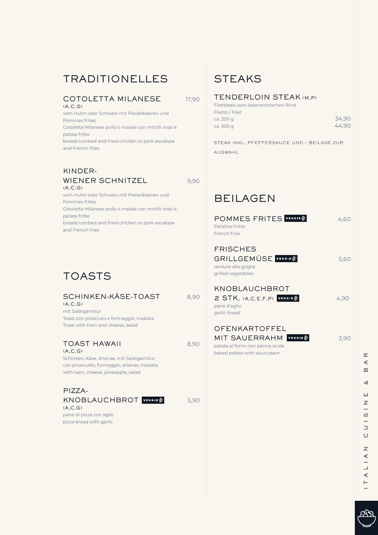## TRADITIONELLES

#### COTOLETTA MILANESE 17,90  $(A, C, G)$

vom Huhn oder Schwein mit Preiselbeeren und Pommes frites Cotoletta Milanese pollo o maiale con mirtilli rossi e patate fritte breadcrumbed and fried chicken or pork escalope and French fries

#### KINDER-WIENER SCHNITZEL 9.90  $(A, C, G)$

vom Huhn oder Schwein mit Preiselbeeren und Pommes frites Cotoletta Milanese pollo o maiale con mirtilli rossi e patate fritte breadcrumbed and fried chicken or pork escalope and French fries

## TOASTS

#### SCHINKEN-KÄSE-TOAST 8,90  $(A, C, G)$

mit Salatgarnitur Toast con prosciuto e formaggio, insalata Toast with ham and cheese, salad

#### TOAST HAWAII 8,90  $(A, C, G)$

Schinken, Käse, Ananas, mit Salatgarnitur con prosciutto, formaggio, ananas, insalata with ham, cheese, pineapple, salad

#### PIZZA-

KNOBLAUCHBROT VEGGIE \$5,90  $(A, C, G)$ pane di pizza con aglio pizza bread with garlic

# **STEAKS**

#### TENDERLOIN STEAK (M,P)

| Filetsteak vom österreichischen Rind |       |
|--------------------------------------|-------|
| Filetto / Filet                      |       |
| ca. 200 g                            | 34.90 |
| ca. 300 g                            | 44.90 |
|                                      |       |

STEAK INKL. PFEFFERSAUCE UND 1 BEILAGE ZUR AUSWAHL

## BEILAGEN

| POMMES FRITES VEGGIE<br>Patatine fritte<br>French fries                                                           | 4,60 |
|-------------------------------------------------------------------------------------------------------------------|------|
| FRISCHES<br><b>GRILLGEMÜSE</b> VEGGIE<br>verdure alla griglia<br>grilled vegetables                               | 5,60 |
| KNOBLAUCHBROT<br>$2$ STK. $(A, C, E, F, P)$ veggie $\emptyset$<br>pane d'aglio<br>garlic bread                    | 4,90 |
| OFENKARTOFFEL<br><b>VEGGIE</b><br>MIT SAUERRAHM<br>patata al forno con panna acida<br>baked potato with sourcream | 3,90 |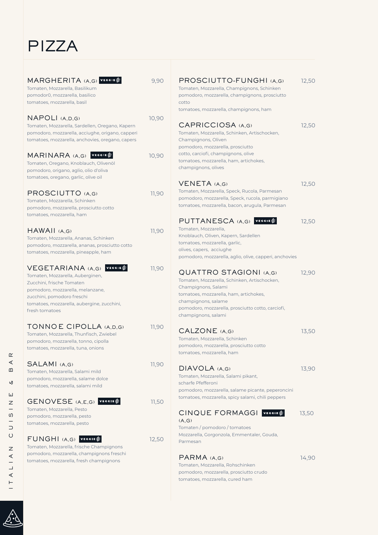# PIZZA

| MARGHERITA (A,G) VEGGIE<br>Tomaten, Mozzarella, Basilikum<br>pomodor0, mozzarella, basilico<br>tomatoes, mozzarella, basil                                                                                                            | 9,90  | PROSCIUTTO-FUNGHI (A,G)<br>Tomaten, Mozzarella, Champignons, Schinken<br>pomodoro, mozzarella, champignons, prosciutto<br>cotto                                                                                                            | 12,50 |
|---------------------------------------------------------------------------------------------------------------------------------------------------------------------------------------------------------------------------------------|-------|--------------------------------------------------------------------------------------------------------------------------------------------------------------------------------------------------------------------------------------------|-------|
| NAPOLI (A, D, G)<br>Tomaten, Mozzarella, Sardellen, Oregano, Kapern<br>pomodoro, mozzarella, acciughe, origano, capperi<br>tomatoes, mozzarella, anchovies, oregano, capers                                                           | 10,90 | tomatoes, mozzarella, champignons, ham<br>CAPRICCIOSA (A,G)<br>Tomaten, Mozzarella, Schinken, Artischocken,<br>Champignons, Oliven<br>pomodoro, mozzarella, prosciutto                                                                     | 12,50 |
| MARINARA (A,G)<br><b>VEGGIE</b><br>Tomaten, Oregano, Knoblauch, Olivenöl<br>pomodoro, origano, aglio, olio d'oliva<br>tomatoes, oregano, garlic, olive oil                                                                            | 10,90 | cotto, carciofi, champignons, olive<br>tomatoes, mozzarella, ham, artichokes,<br>champignons, olives                                                                                                                                       |       |
| PROSCIUTTO (A,G)<br>Tomaten, Mozzarella, Schinken<br>pomodoro, mozzarella, prosciutto cotto<br>tomatoes, mozzarella, ham                                                                                                              | 11,90 | VENETA (A,G)<br>Tomaten, Mozzarella, Speck, Rucola, Parmesan<br>pomodoro, mozzarella, Speck, rucola, parmigiano<br>tomatoes, mozzarella, bacon, arugula, Parmesan                                                                          | 12,50 |
| HAWAll (A, G)<br>Tomaten, Mozzarella, Ananas, Schinken<br>pomodoro, mozzarella, ananas, prosciutto cotto<br>tomatoes, mozzarella, pineapple, ham                                                                                      | 11,90 | PUTTANESCA (A,G) VEGGIE®<br>Tomaten, Mozzarella,<br>Knoblauch, Oliven, Kapern, Sardellen<br>tomatoes, mozzarella, garlic,<br>olives, capers, acciughe<br>pomodoro, mozzarella, aglio, olive, capperi, anchovies                            | 12,50 |
| <b>VEGGIE</b><br>VEGETARIANA (A,G)<br>Tomaten, Mozzarella, Auberginen,<br>Zucchini, frische Tomaten<br>pomodoro, mozzarella, melanzane,<br>zucchini, pomodoro freschi<br>tomatoes, mozzarella, aubergine, zucchini,<br>fresh tomatoes | 11,90 | QUATTRO STAGIONI (A,G)<br>Tomaten, Mozzarella, Schinken, Artischocken,<br>Champignons, Salami<br>tomatoes, mozzarella, ham, artichokes,<br>champignons, salame<br>pomodoro, mozzarella, prosciutto cotto, carciofi,<br>champignons, salami | 12,90 |
| TONNOE CIPOLLA (A,D,G)<br>Tomaten, Mozzarella, Thunfisch, Zwiebel<br>pomodoro, mozzarella, tonno, cipolla<br>tomatoes, mozzarella, tuna, onions                                                                                       | 11,90 | CALZONE (A,G)<br>Tomaten, Mozzarella, Schinken<br>pomodoro, mozzarella, prosciutto cotto<br>tomatoes, mozzarella, ham                                                                                                                      | 13,50 |
| SALAMI (A,G)<br>Tomaten, Mozzarella, Salami mild<br>pomodoro, mozzarella, salame dolce<br>tomatoes, mozzarella, salami mild                                                                                                           | 11,90 | DIAVOLA (A,G)<br>Tomaten, Mozzarella, Salami pikant,<br>scharfe Pfefferoni<br>pomodoro, mozzarella, salame picante, peperoncini                                                                                                            | 13,90 |
| <b>VEGGIE</b> $\circledR$<br><b>GENOVESE</b> (A,E,G)<br>Tomaten, Mozzarella, Pesto<br>pomodoro, mozzarella, pesto<br>tomatoes, mozzarella, pesto                                                                                      | 11,50 | tomatoes, mozzarella, spicy salami, chili peppers<br>CINQUE FORMAGGI VEGGIE@<br>(A, G)<br>Tomaten / pomodoro / tomatoes                                                                                                                    | 13,50 |
| $FUNGHI (A, G)$ veggie $\emptyset$<br>Tomaten, Mozzarella, frische Champignons<br>pomodoro, mozzarella, champignons freschi<br>tomatoes, mozzarella, fresh champignons                                                                | 12,50 | Mozzarella, Gorgonzola, Emmentaler, Gouda,<br>Parmesan<br>PARMA (A,G)<br>Tomaten, Mozzarella, Rohschinken<br>pomodoro, mozzarella, prosciutto crudo<br>tomatoes, mozzarella, cured ham                                                     | 14,90 |

 $\propto$  $\triangleleft$ 

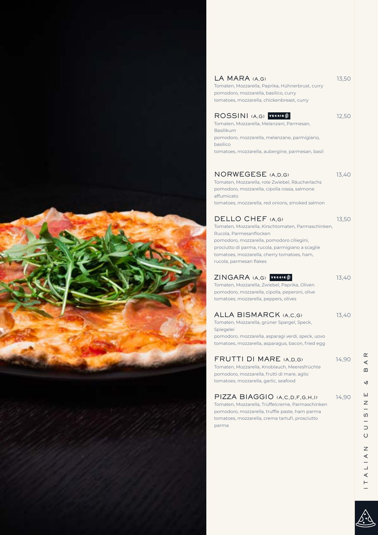

| LA MARA (A,G)                                    | 13.50 |
|--------------------------------------------------|-------|
| Tomaten, Mozzarella, Paprika, Hühnerbrust, curry |       |
| pomodoro, mozzarella, basilico, curry            |       |
| tomatoes, mozzarella, chickenbreast, curry       |       |

#### $\text{ROSSIM}$  (A,G) vegete $\emptyset$  12,50

Tomaten, Mozzarella, Melanzani, Parmesan, Basilikum pomodoro, mozzarella, melanzane, parmigiano, basilico tomatoes, mozzarella, aubergine, parmesan, basil

#### NORWEGESE (A, D, G) 13,40

Tomaten, Mozzarella, rote Zwiebel, Räucherlachs pomodoro, mozzarella, cipolla rossa, salmone affumicato tomatoes, mozzarella, red onions, smoked salmon

#### DELLO CHEF (A,G) 13,50

Tomaten, Mozzarella, Kirschtomaten, Parmaschinken, Rucola, Parmesanflocken pomodoro, mozzarella, pomodoro ciliegini, prociutto di parma, rucola, parmigiano a scaglie tomatoes, mozzarella, cherry tomatoes, ham, rucola, parmesan flakes

#### $ZINGARA$  (A,G) veggie  $*$  13,40

Tomaten, Mozzarella, Zwiebel, Paprika, Oliven pomodoro, mozzarella, cipolla, peperoni, olive tomatoes, mozzarella, peppers, olives

#### ALLA BISMARCK (A,C,G) 13,40

Tomaten, Mozzarella, grüner Spargel, Speck, Spiegelei pomodoro, mozzarella, asparagi verdi, speck, uovo tomatoes, mozzarella, asparagus, bacon, fried egg

#### FRUTTI DI MARE (A,D,G) 14,90

Tomaten, Mozzarella, Knoblauch, Meeresfrüchte pomodoro, mozzarella, frutti di mare, aglio tomatoes, mozzarella, garlic, seafood

#### PIZZA BIAGGIO (A,C,D,F,G,H,I) 14,90

Tomaten, Mozzarella, Trüffelcreme, Parmaschinken pomodoro, mozzarella, truffle paste, ham parma tomatoes, mozzarella, crema tartufi, prosciutto parma

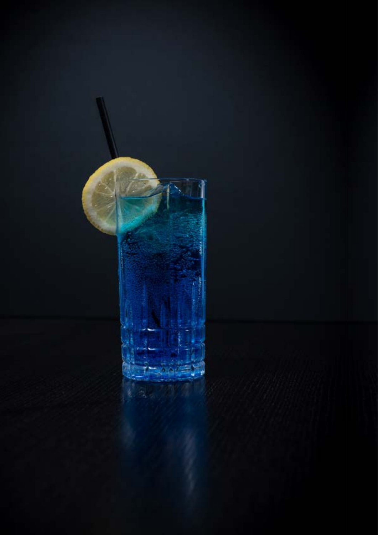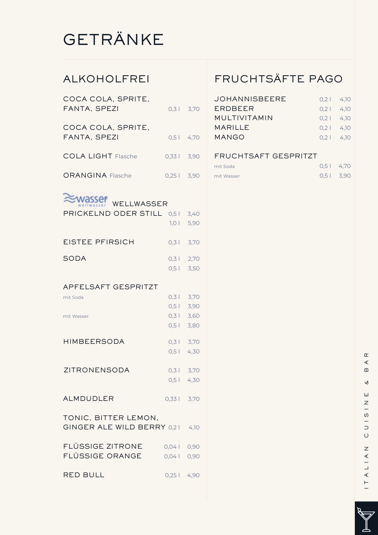# GETRÄNKE

## ALKOHOLFREI

| COCA COLA, SPRITE,<br>FANTA, SPEZI                      |                              | $0,31$ 3,70                 |
|---------------------------------------------------------|------------------------------|-----------------------------|
| COCA COLA, SPRITE,<br>FANTA, SPEZI                      |                              | 0,514,70                    |
| <b>COLA LIGHT Flasche</b>                               | 0,331                        | 3,90                        |
| <b>ORANGINA</b> Flasche                                 | 0,251                        | 3,90                        |
| WASSET WELLWASSER<br>PRICKELND ODER STILL 0,51 3,40     |                              | $1,0$   5,90                |
| <b>EISTEE PFIRSICH</b>                                  |                              | $0,31$ 3,70                 |
| <b>SODA</b>                                             |                              | $0,3$   2,70<br>$0,51$ 3,50 |
| APFELSAFT GESPRITZT<br>mit Soda                         | $0,5$                        | 0,31 3,70<br>3,90           |
| mit Wasser                                              | $0,5$                        | $0,31$ 3,60<br>3,80         |
| <b>HIMBEERSODA</b>                                      |                              | $0,31$ 3,70<br>0,514,30     |
| <b>ZITRONENSODA</b>                                     |                              | $0,3$   $3,70$<br>0,514,30  |
| <b>ALMDUDLER</b>                                        | 0,33   3,70                  |                             |
| TONIC, BITTER LEMON,<br>GINGER ALE WILD BERRY 0,21 4,10 |                              |                             |
| FLÜSSIGE ZITRONE<br>FLÜSSIGE ORANGE                     | $0,04$   0,90<br>0,04   0,90 |                             |
| RED BULL                                                | 0,2514,90                    |                             |

# FRUCHTSÄFTE PAGO

| $0.21$ 4.10  |  |
|--------------|--|
| $0.2$   4.10 |  |
| $0.21$ 4.10  |  |
| $0.21$ 4.10  |  |
| $0.21$ 4.10  |  |
|              |  |

#### FRUCHTSAFT GESPRITZT

| mit Soda   | 0.514.70    |  |
|------------|-------------|--|
| mit Wasser | $0.51$ 3.90 |  |

 $\underline{\alpha}$ 

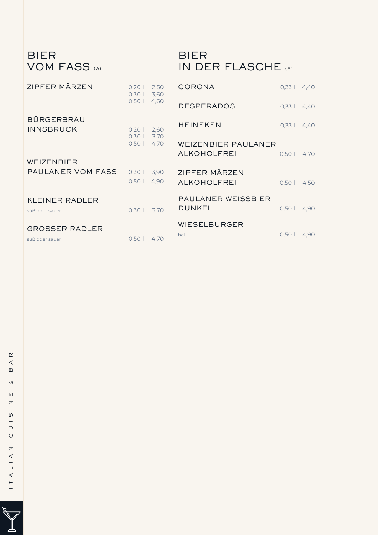## BIER VOM FASS (A)

## BIER IN DER FLASCHE (A)

| <b>ZIPFER MÄRZEN</b>                    | 0,201<br>0,301 | 2,50<br>3,60 | CORONA                                    | 0.33  | 4,40 |
|-----------------------------------------|----------------|--------------|-------------------------------------------|-------|------|
|                                         | 0,501          | 4,60         | <b>DESPERADOS</b>                         | 0.33  | 4,40 |
| <b>BÜRGERBRÄU</b><br><b>INNSBRUCK</b>   | 0,201<br>0,301 | 2,60<br>3,70 | <b>HEINEKEN</b>                           | 0.331 | 4,40 |
| WEIZENBIER                              | 0,501          | 4,70         | <b>WEIZENBIER PAULANER</b><br>ALKOHOLFREI | 0.501 | 4,70 |
| PAULANER VOM FASS                       | 0,301<br>0,501 | 3,90<br>4,90 | <b>ZIPFER MÄRZEN</b><br>ALKOHOLFREI       | 0.501 | 4,50 |
| KLEINER RADLER<br>süß oder sauer        | 0,301          | 3.70         | PAULANER WEISSBIER<br><b>DUNKEL</b>       | 0,501 | 4,90 |
| <b>GROSSER RADLER</b><br>süß oder sauer | 0,501          | 4,70         | <b>WIESELBURGER</b><br>hell               | 0.501 | 4,90 |

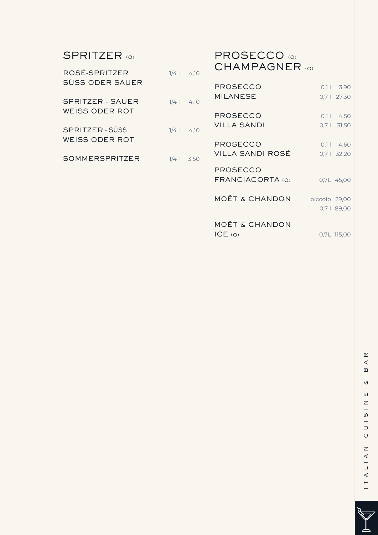## SPRITZER (O)

| ROSÉ-SPRITZER<br>SÜSS ODER SAUER   | $1/4$ 4,10 |  |
|------------------------------------|------------|--|
| SPRITZER - SAUER<br>WEISS ODER ROT | $1/4$ 4.10 |  |
| SPRITZER - SÜSS<br>WEISS ODER ROT  | $1/4$ 4.10 |  |
| SOMMERSPRITZER                     | $1/4$ 3.50 |  |

## PROSECCO (O) CHAMPAGNER (O)

| PROSECCO<br>MILANESE      | $0.11$ 3.90<br>0,7   27,30 |
|---------------------------|----------------------------|
|                           |                            |
| <b>PROSECCO</b>           | 0.114.50                   |
| VILLA SANDI               | $0.7$   31,50              |
| <b>PROSECCO</b>           | $0,11$ 4,60                |
| VILLA SANDI ROSÉ          | 0,7   32,20                |
| PROSECCO                  |                            |
| <b>FRANCIACORTA (O)</b>   | 0,7L 45,00                 |
| <b>MOËT &amp; CHANDON</b> | piccolo 29,00              |
|                           | 0,7   89,00                |
| MOËT & CHANDON            |                            |
| ICE(0)                    | 0,7L 115,00                |

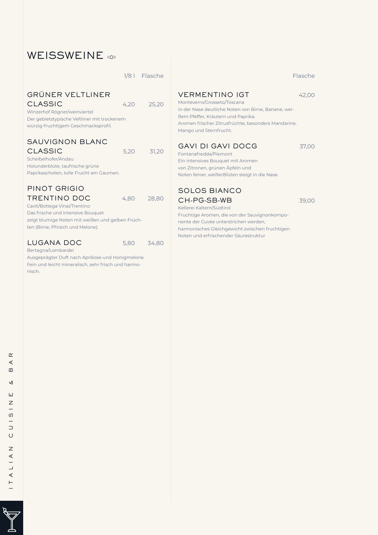## WEISSWEINE (O)

|  | 1/8 |  | Flasche |  |
|--|-----|--|---------|--|
|--|-----|--|---------|--|

#### GRÜNER VELTLINER CLASSIC 4,20 25,20 Winzerhof Rögner/weinviertel Der gebietstypische Veltliner mit trockenem würzig-fruchtigem Geschmacksprofil.

### SAUVIGNON BLANC

| <b>CLASSIC</b>                          | 5.20 | 31.20 |
|-----------------------------------------|------|-------|
| Scheibelhofer/Andau                     |      |       |
| Holunderblüte, taufrische grüne         |      |       |
| Paprikaschoten, tolle Frucht am Gaumen. |      |       |

#### PINOT GRIGIO

| TRENTINO DOC                                     | 4.80 | 28,80 |
|--------------------------------------------------|------|-------|
| Cavit/Bottega Vinai/Trentino                     |      |       |
| Das frische und intensive Bouquet                |      |       |
| zeigt blumige Noten mit weißen und gelben Früch- |      |       |
| ten (Birne, Pfirsich und Melone).                |      |       |
|                                                  |      |       |

#### LUGANA DOC 5,80 34,80 Bertagna/Lombardei

Ausgeprägter Duft nach Aprikose und Honigmelone. Fein und leicht mineralisch, sehr frisch und harmonisch.

#### VERMENTINO IGT 42.00

Monteverro/Grosseto/Toscana In der Nase deutliche Noten von Birne, Banane, wei-

ßem Pfeffer, Kräutern und Paprika. Aromen frischer Zitrusfrüchte, besonders Mandarine, Mango und Sternfrucht.

#### GAVI DI GAVI DOCG 37,00

Flasche

Fontanafredda/Piemont Ein intensives Bouquet mit Aromen von Zitronen, grünen Äpfeln und Noten feiner, weißerBlüten steigt in die Nase.

#### SOLOS BIANCO CH-PG-SB-WB 39,00

Kellerei Kaltern/Südtirol Fruchtige Aromen, die von der Sauvignonkomponente der Cuvée unterstrichen werden, harmonisches Gleichgewicht zwischen fruchtigen Noten und erfrischender Säurestruktur

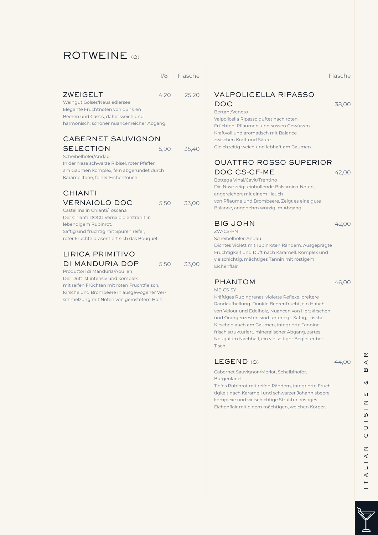## ROTWEINE (O)

| $1/8$ |  | Flasche |  |
|-------|--|---------|--|
|       |  |         |  |

| ZWEIGELT                                   | 4.20 | 25,20 |
|--------------------------------------------|------|-------|
| Weingut Golser/Neusiedlersee               |      |       |
| Elegante Fruchtnoten von dunklen           |      |       |
| Beeren und Cassis, daher weich und         |      |       |
| harmonisch, schöner nuancenreicher Abgang. |      |       |

## CABERNET SAUVIGNON

| <b>SELECTION</b>                             | 5.90 | 35,40 |
|----------------------------------------------|------|-------|
| Scheibelhofer/Andau                          |      |       |
| In der Nase schwarze Ribisel, roter Pfeffer. |      |       |
| am Gaumen komplex, fein abgerundet durch     |      |       |
| Karamelltöne, feiner Eichentouch.            |      |       |

#### CHIANTI VERNAIOLO DOC 5,50 33,00

| Castellina in Chianti/Toscana               |  |
|---------------------------------------------|--|
| Der Chianti DOCG Vernajolo erstrahlt in     |  |
| lebendigem Rubinrot.                        |  |
| Saftig und fruchtig mit Spuren reifer,      |  |
| roter Früchte präsentiert sich das Bouquet. |  |
|                                             |  |

#### LIRICA PRIMITIVO DI MANDURIA DOP 5,50 33,00

Produttori di Manduria/Apulien

Der Duft ist intensiv und komplex, mit reifen Früchten mit roten Fruchtfleisch, Kirsche und Brombeere in ausgewogener Verschmelzung mit Noten von geröstetem Holz.

Flasche

#### VALPOLICELLA RIPASSO DOC 38,00

#### Bertani/Veneto Valpolicella Ripasso duftet nach roten Früchten, Pflaumen, und süssen Gewürzen. Kraftvoll und aromatisch mit Balance zwischen Kraft und Säure. Gleichzeitig weich und lebhaft am Gaumen.

#### QUATTRO ROSSO SUPERIOR DOC CS-CF-ME 42,00

Bottega Vinai/Cavit/Trentino Die Nase zeigt einhüllende Balsamico-Noten, angereichert mit einem Hauch von Pflaume und Brombeere. Zeigt es eine gute Balance, angenehm würzig im Abgang.

#### **BIG JOHN** 42,00 ZW-CS-PN

Scheibelhofer-Andau Dichtes Violett mit rubinroten Rändern. Ausgeprägte Fruchtigkeit und Duft nach Karamell. Komplex und vielschichtig, mächtiges Tannin mit röstigem Eichenflair.

#### PHANTOM 46,00

ME-CS-SY

Kräftiges Rubingranat, violette Reflexe, breitere Randaufhellung. Dunkle Beerenfrucht, ein Hauch von Velour und Edelholz, Nuancen von Herzkirschen und Orangenzesten sind unterlegt. Saftig, frische Kirschen auch am Gaumen, integrierte Tannine, frisch strukturiert, mineralischer Abgang, zartes Nougat im Nachhall, ein vielseitiger Begleiter bei Tisch.

#### LEGEND (O) 44,00

Cabernet Sauvignon/Merlot, Scheiblhofer, Burgenland

Tiefes Rubinrot mit reifen Rändern, integrierte Fruchtigkeit nach Karamell und schwarzer Johannisbeere, komplexe und vielschichtige Struktur, röstiges Eichenflair mit einem mächtigen, weichen Körper.

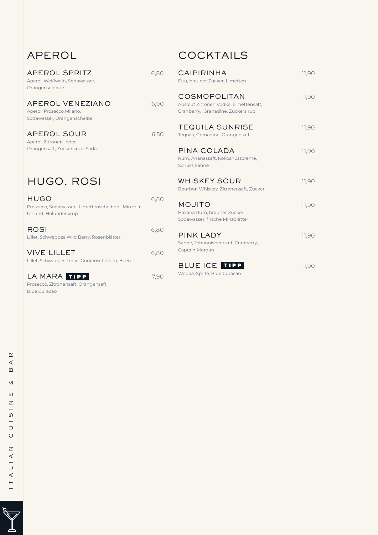# APEROL

| <b>APEROL SPRITZ</b><br>Aperol, Weißwein, Sodawasser,<br>Orangenscheibe                   | 6,80 | С<br>Pit         |
|-------------------------------------------------------------------------------------------|------|------------------|
| <b>APEROL VENEZIANO</b><br>Aperol, Prosecco Milano,<br>Sodawasser, Orangenscheibe         | 6,90 | C<br>Ak<br>Cr    |
| <b>APEROL SOUR</b><br>Aperol, Zitronen- oder                                              | 6,50 | т<br>Te          |
| Orangensaft, Zuckersirup, Soda                                                            |      | Р<br>RL<br>Sc    |
| HUGO, ROSI                                                                                |      | W<br>Bo          |
| <b>HUGO</b><br>Prosecco, Sodawasser, Limettenscheiben, Minzblät-<br>ter und Holundersirup | 6,80 | M<br>Ha<br>Sc    |
| <b>ROSI</b><br>Lillet, Schweppes Wild Berry, Rosenblätter                                 | 6,80 | Р<br>Sa          |
| <b>VIVE LILLET</b><br>Lillet, Schweppes Tonic, Gurkenscheiben, Beeren                     | 6,80 | $C\tilde{c}$     |
|                                                                                           |      | в<br>$\Lambda$ / |

LA MARA TIPP Prosecco, Zitronensaft, Orangensaft Blue Curacao

# **COCKTAILS**

| CAIPIRINHA<br>Pitu, brauner Zucker, Limetten                                               | 11,90 |
|--------------------------------------------------------------------------------------------|-------|
| COSMOPOLITAN<br>Absolut Zitronen Vodka, Limettensaft,<br>Cranberry, Grenadine, Zuckersirup | 11,90 |
| <b>TEQUILA SUNRISE</b><br>Tequila, Grenadine, Orangensaft                                  | 11,90 |
| PINA COLADA<br>Rum, Ananassaft, Kokosnusscreme,<br>Schuss Sahne                            | 11,90 |
| <b>WHISKEY SOUR</b><br>Bourbon Whiskey, Zitronensaft, Zucker                               | 11,90 |
| MOJITO<br>Havana Rum, brauner Zucker,<br>Sodawasser, frische Minzblätter                   | 11,90 |
| PINK LADY<br>Sahne, Johannisbeersaft, Cranberry,<br>Captain Morgan                         | 11,90 |
| BLUE ICE TIPP                                                                              | 11,90 |

Wodka, Sprite, Blue Curacao

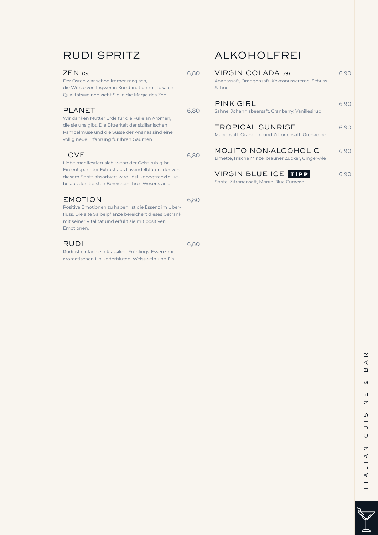# RUDI SPRITZ

#### $ZEN$  (G)  $6,60$

Der Osten war schon immer magisch, die Würze von Ingwer in Kombination mit lokalen Qualitätsweinen zieht Sie in die Magie des Zen

#### PLANET 6,600 million and 6,600 million and 6,600 million and 6,600 million and 6,600 million and 6,600 million

Wir danken Mutter Erde für die Fülle an Aromen, die sie uns gibt. Die Bitterkeit der sizilianischen Pampelmuse und die Süsse der Ananas sind eine völlig neue Erfahrung für Ihren Gaumen

#### LOVE 6,800 GM and 5,000 GM and 6,000 GM and 6,000 GM and 6,000 GM and 6,000 GM and 6,000 GM and 6,000 GM and 6,000 GM and 6,000 GM and 6,000 GM and 6,000 GM and 6,000 GM and 6,000 GM and 6,000 GM and 6,000 GM and 6,000 GM

Liebe manifestiert sich, wenn der Geist ruhig ist. Ein entspannter Extrakt aus Lavendelblüten, der von diesem Spritz absorbiert wird, löst unbegfrenzte Liebe aus den tiefsten Bereichen Ihres Wesens aus.

#### EMOTION 6,80

Positive Emotionen zu haben, ist die Essenz im Überfluss. Die alte Salbeipflanze bereichert dieses Getränk mit seiner Vitalität und erfüllt sie mit positiven Emotionen.

#### RUDI 6,80

Rudi ist einfach ein Klassiker. Frühlings-Essenz mit aromatischen Holunderblüten, Weisswein und Eis

# ALKOHOLFREI

| ,80 | <b>VIRGIN COLADA (G)</b><br>Ananassaft, Orangensaft, Kokosnusscreme, Schuss<br>Sahne | 6,90 |
|-----|--------------------------------------------------------------------------------------|------|
| ,80 | <b>PINK GIRL</b><br>Sahne, Johannisbeersaft, Cranberry, Vanillesirup                 | 6,90 |
|     | <b>TROPICAL SUNRISE</b><br>Mangosaft, Orangen- und Zitronensaft, Grenadine           | 6,90 |
| ,80 | <b>MOJITO NON-ALCOHOLIC</b><br>Limette, frische Minze, brauner Zucker, Ginger-Ale    | 6,90 |
|     | VIRGIN BLUE ICE TIPP<br>Sprite, Zitronensaft, Monin Blue Curacao                     | 6,90 |
|     |                                                                                      |      |